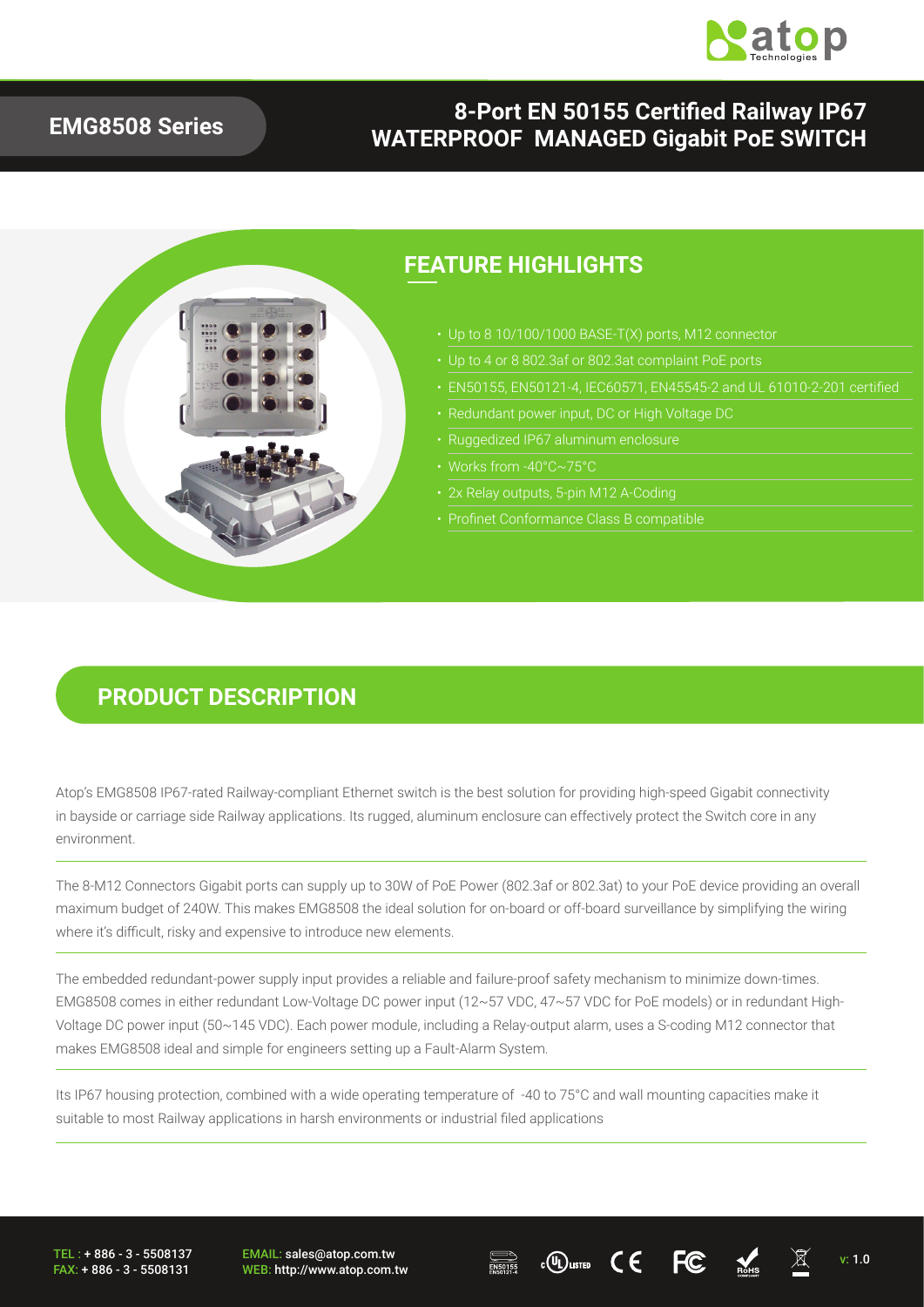

#### **EMG8508 Series**

#### **8-Port EN 50155 Certified Railway IP67 WATERPROOF MANAGED Gigabit PoE SWITCH**



#### **PRODUCT DESCRIPTION**

Atop's EMG8508 IP67-rated Railway-compliant Ethernet switch is the best solution for providing high-speed Gigabit connectivity in bayside or carriage side Railway applications. Its rugged, aluminum enclosure can effectively protect the Switch core in any environment.

The 8-M12 Connectors Gigabit ports can supply up to 30W of PoE Power (802.3af or 802.3at) to your PoE device providing an overall maximum budget of 240W. This makes EMG8508 the ideal solution for on-board or off-board surveillance by simplifying the wiring where it's difficult, risky and expensive to introduce new elements.

The embedded redundant-power supply input provides a reliable and failure-proof safety mechanism to minimize down-times. EMG8508 comes in either redundant Low-Voltage DC power input (12~57 VDC, 47~57 VDC for PoE models) or in redundant High-Voltage DC power input (50~145 VDC). Each power module, including a Relay-output alarm, uses a S-coding M12 connector that makes EMG8508 ideal and simple for engineers setting up a Fault-Alarm System.

Its IP67 housing protection, combined with a wide operating temperature of -40 to 75°C and wall mounting capacities make it suitable to most Railway applications in harsh environments or industrial filed applications

TEL : + 886 - 3 - 5508137 FAX: + 886 - 3 - 5508131 EMAIL: sales@atop.com.tw EMAIL: sales@atop.com.tw  $\overline{\bigoplus_{\text{RSDS15}}}$  c $\overline{\text{W}}$ usted  $\text{C} \in \text{FC}$   $\overline{\text{M}}$   $\overline{\text{M}}$  v: 1.0



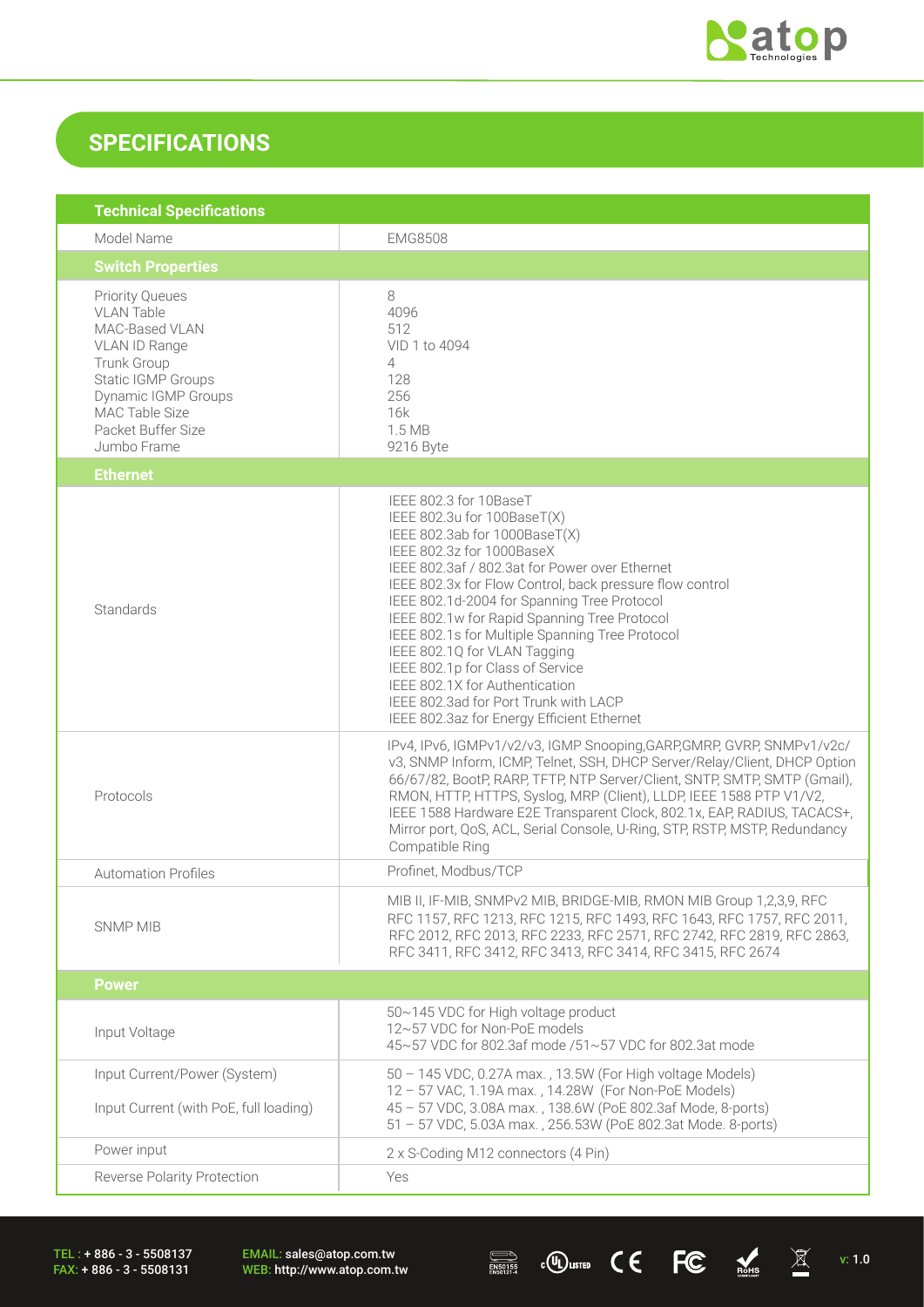

## **SPECIFICATIONS**

| <b>Technical Specifications</b>                                                                                                                                                                                 |                                                                                                                                                                                                                                                                                                                                                                                                                                                                                                                                                                                  |  |  |
|-----------------------------------------------------------------------------------------------------------------------------------------------------------------------------------------------------------------|----------------------------------------------------------------------------------------------------------------------------------------------------------------------------------------------------------------------------------------------------------------------------------------------------------------------------------------------------------------------------------------------------------------------------------------------------------------------------------------------------------------------------------------------------------------------------------|--|--|
| Model Name                                                                                                                                                                                                      | <b>EMG8508</b>                                                                                                                                                                                                                                                                                                                                                                                                                                                                                                                                                                   |  |  |
| <b>Switch Properties</b>                                                                                                                                                                                        |                                                                                                                                                                                                                                                                                                                                                                                                                                                                                                                                                                                  |  |  |
| <b>Priority Queues</b><br><b>VLAN Table</b><br>MAC-Based VLAN<br>VLAN ID Range<br><b>Trunk Group</b><br><b>Static IGMP Groups</b><br>Dynamic IGMP Groups<br>MAC Table Size<br>Packet Buffer Size<br>Jumbo Frame | 8<br>4096<br>512<br>VID 1 to 4094<br>4<br>128<br>256<br>16k<br>1.5 MB<br>9216 Byte                                                                                                                                                                                                                                                                                                                                                                                                                                                                                               |  |  |
| <b>Ethernet</b>                                                                                                                                                                                                 |                                                                                                                                                                                                                                                                                                                                                                                                                                                                                                                                                                                  |  |  |
| Standards                                                                                                                                                                                                       | IEEE 802.3 for 10BaseT<br>IEEE 802.3u for 100BaseT(X)<br>IEEE 802.3ab for 1000BaseT(X)<br>IEEE 802.3z for 1000BaseX<br>IEEE 802.3af / 802.3at for Power over Ethernet<br>IEEE 802.3x for Flow Control, back pressure flow control<br>IEEE 802.1d-2004 for Spanning Tree Protocol<br>IEEE 802.1w for Rapid Spanning Tree Protocol<br>IEEE 802.1s for Multiple Spanning Tree Protocol<br>IEEE 802.1Q for VLAN Tagging<br>IEEE 802.1p for Class of Service<br>IEEE 802.1X for Authentication<br>IEEE 802.3ad for Port Trunk with LACP<br>IEEE 802.3az for Energy Efficient Ethernet |  |  |
| Protocols                                                                                                                                                                                                       | IPv4, IPv6, IGMPv1/v2/v3, IGMP Snooping, GARP, GMRP, GVRP, SNMPv1/v2c/<br>v3, SNMP Inform, ICMP, Telnet, SSH, DHCP Server/Relay/Client, DHCP Option<br>66/67/82, BootP, RARP, TFTP, NTP Server/Client, SNTP, SMTP, SMTP (Gmail),<br>RMON, HTTP, HTTPS, Syslog, MRP (Client), LLDP, IEEE 1588 PTP V1/V2,<br>IEEE 1588 Hardware E2E Transparent Clock, 802.1x, EAP, RADIUS, TACACS+,<br>Mirror port, QoS, ACL, Serial Console, U-Ring, STP, RSTP, MSTP, Redundancy<br>Compatible Ring                                                                                              |  |  |
| <b>Automation Profiles</b>                                                                                                                                                                                      | Profinet, Modbus/TCP                                                                                                                                                                                                                                                                                                                                                                                                                                                                                                                                                             |  |  |
| <b>SNMP MIB</b>                                                                                                                                                                                                 | MIB II, IF-MIB, SNMPv2 MIB, BRIDGE-MIB, RMON MIB Group 1,2,3,9, RFC<br>RFC 1157, RFC 1213, RFC 1215, RFC 1493, RFC 1643, RFC 1757, RFC 2011,<br>RFC 2012, RFC 2013, RFC 2233, RFC 2571, RFC 2742, RFC 2819, RFC 2863,<br>RFC 3411, RFC 3412, RFC 3413, RFC 3414, RFC 3415, RFC 2674                                                                                                                                                                                                                                                                                              |  |  |
| <b>Power</b>                                                                                                                                                                                                    |                                                                                                                                                                                                                                                                                                                                                                                                                                                                                                                                                                                  |  |  |
| Input Voltage                                                                                                                                                                                                   | 50~145 VDC for High voltage product<br>12~57 VDC for Non-PoE models<br>45~57 VDC for 802.3af mode /51~57 VDC for 802.3at mode                                                                                                                                                                                                                                                                                                                                                                                                                                                    |  |  |
| Input Current/Power (System)<br>Input Current (with PoE, full loading)                                                                                                                                          | 50 - 145 VDC, 0.27A max., 13.5W (For High voltage Models)<br>12 - 57 VAC, 1.19A max., 14.28W (For Non-PoE Models)<br>45 - 57 VDC, 3.08A max., 138.6W (PoE 802.3af Mode, 8-ports)<br>51 - 57 VDC, 5.03A max., 256.53W (PoE 802.3at Mode. 8-ports)                                                                                                                                                                                                                                                                                                                                 |  |  |
| Power input                                                                                                                                                                                                     | 2 x S-Coding M12 connectors (4 Pin)                                                                                                                                                                                                                                                                                                                                                                                                                                                                                                                                              |  |  |
| Reverse Polarity Protection                                                                                                                                                                                     | Yes                                                                                                                                                                                                                                                                                                                                                                                                                                                                                                                                                                              |  |  |

TEL : + 886 - 3 - 5508137 FAX: + 886 - 3 - 5508131

EMAIL: sales@atop.com.tw<br>WEB: http://www.atop.com.tw



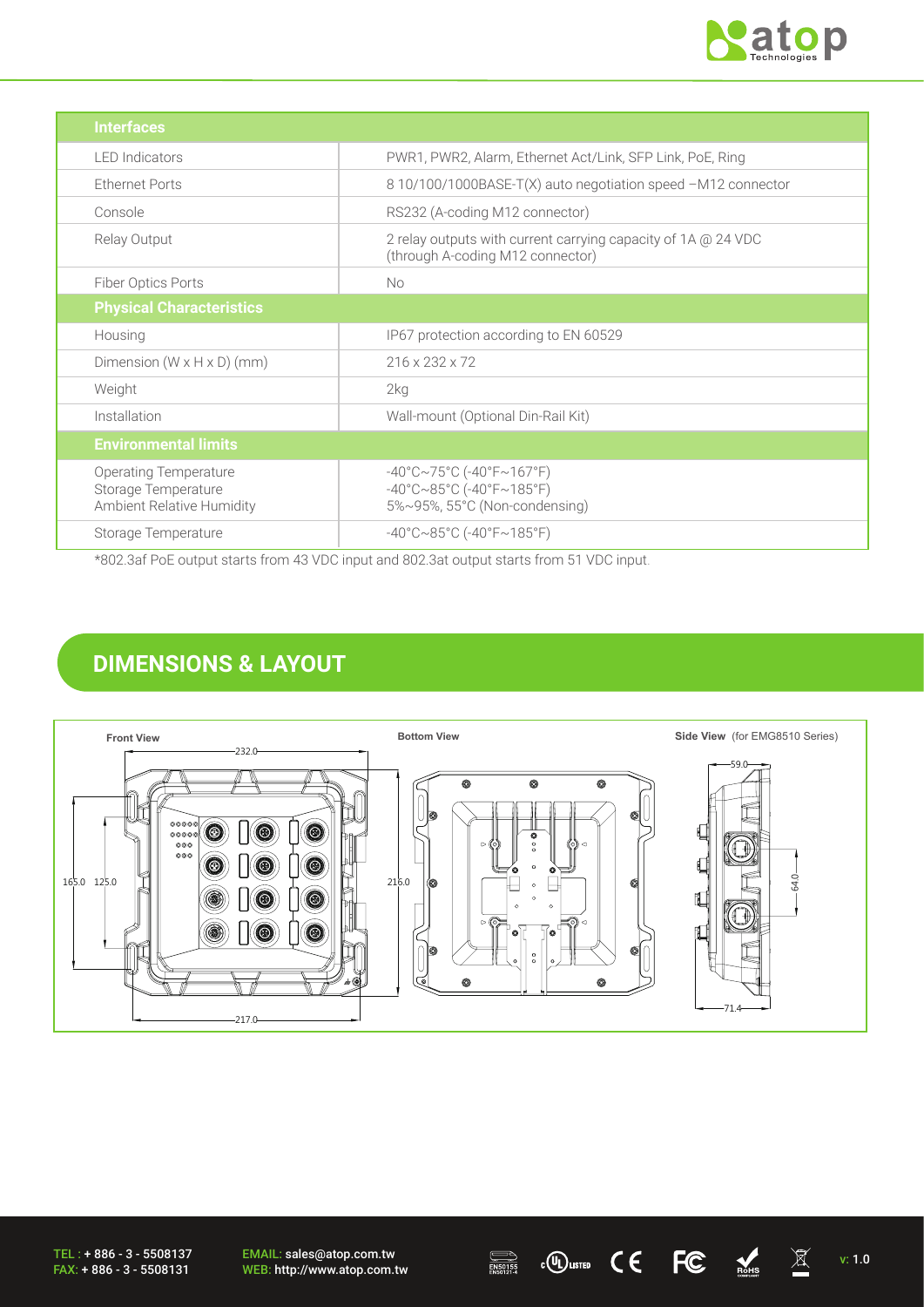

| <b>Interfaces</b>                                                                |                                                                                                                                       |
|----------------------------------------------------------------------------------|---------------------------------------------------------------------------------------------------------------------------------------|
| <b>LED</b> Indicators                                                            | PWR1, PWR2, Alarm, Ethernet Act/Link, SFP Link, PoE, Ring                                                                             |
| <b>Ethernet Ports</b>                                                            | 8 10/100/1000BASE-T(X) auto negotiation speed -M12 connector                                                                          |
| Console                                                                          | RS232 (A-coding M12 connector)                                                                                                        |
| Relay Output                                                                     | 2 relay outputs with current carrying capacity of 1A @ 24 VDC<br>(through A-coding M12 connector)                                     |
| Fiber Optics Ports                                                               | <b>No</b>                                                                                                                             |
| <b>Physical Characteristics</b>                                                  |                                                                                                                                       |
| Housing                                                                          | IP67 protection according to EN 60529                                                                                                 |
| Dimension $(W \times H \times D)$ (mm)                                           | 216 x 232 x 72                                                                                                                        |
| Weight                                                                           | 2kg                                                                                                                                   |
| Installation                                                                     | Wall-mount (Optional Din-Rail Kit)                                                                                                    |
| <b>Environmental limits</b>                                                      |                                                                                                                                       |
| <b>Operating Temperature</b><br>Storage Temperature<br>Ambient Relative Humidity | $-40^{\circ}$ C $\sim$ 75°C (-40°F $\sim$ 167°F)<br>$-40^{\circ}$ C $\sim$ 85°C (-40°F $\sim$ 185°F)<br>5%~95%, 55°C (Non-condensing) |
| Storage Temperature<br>---- - - - -                                              | $-40^{\circ}$ C $\sim$ 85°C (-40°F $\sim$ 185°F)                                                                                      |

\*802.3af PoE output starts from 43 VDC input and 802.3at output starts from 51 VDC input.

## **DIMENSIONS & LAYOUT**



TEL : + 886 - 3 - 5508137 FAX: + 886 - 3 - 5508131

EMAIL: sales@atop.com.tw EMAIL: sales@atop.com.tw  $\overline{\mathbb{R}}$   $\mathbb{C}$   $\mathbb{C}$   $\mathbb{C}$   $\overline{\mathbb{R}}$   $\mathbb{R}$  v: 1.0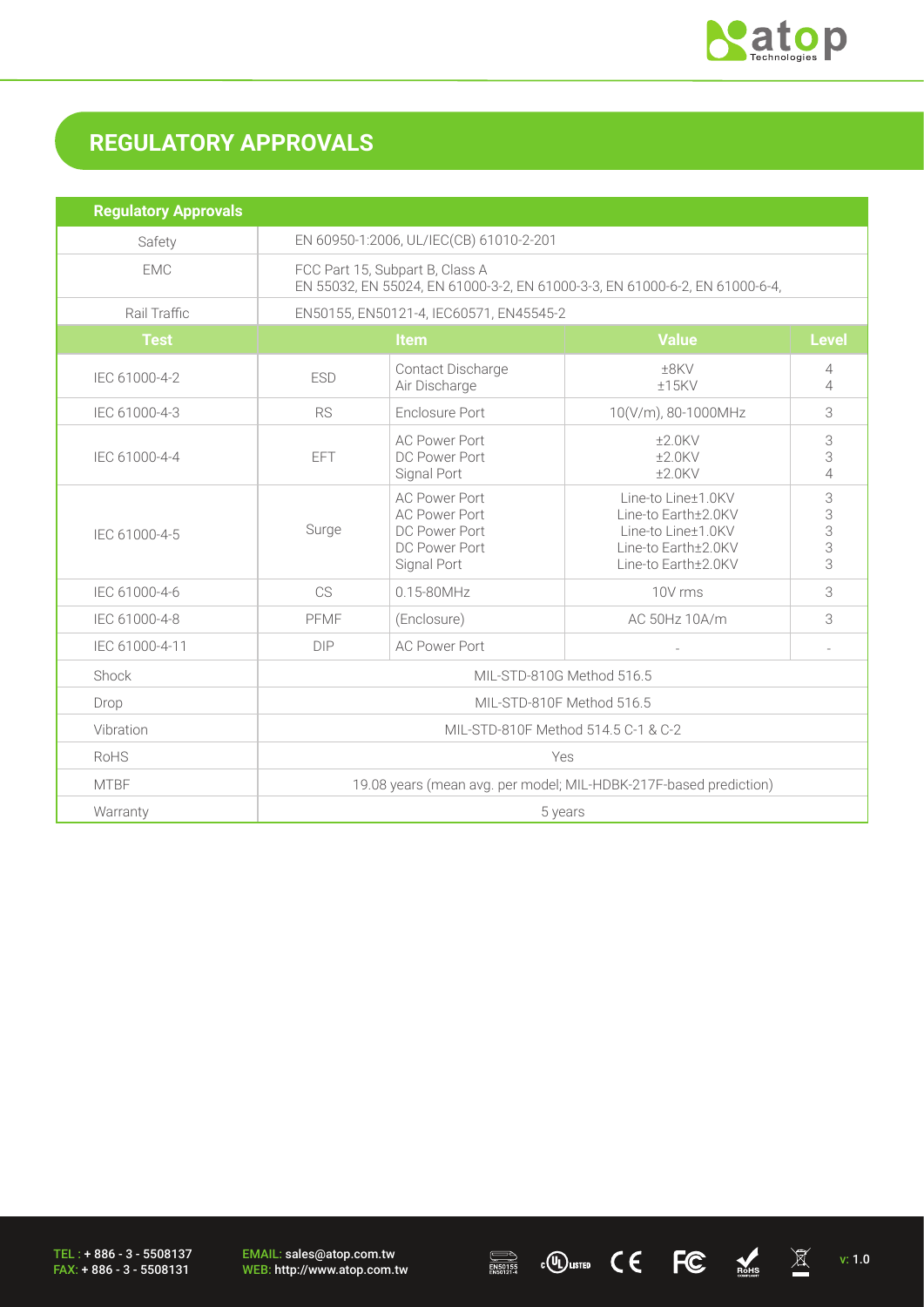

# **REGULATORY APPROVALS**

| <b>Regulatory Approvals</b> |                                                                                                                |                                                                                               |                                                                                                               |                          |
|-----------------------------|----------------------------------------------------------------------------------------------------------------|-----------------------------------------------------------------------------------------------|---------------------------------------------------------------------------------------------------------------|--------------------------|
| Safety                      | EN 60950-1:2006, UL/IEC(CB) 61010-2-201                                                                        |                                                                                               |                                                                                                               |                          |
| <b>EMC</b>                  | FCC Part 15, Subpart B, Class A<br>EN 55032, EN 55024, EN 61000-3-2, EN 61000-3-3, EN 61000-6-2, EN 61000-6-4, |                                                                                               |                                                                                                               |                          |
| Rail Traffic                | EN50155, EN50121-4, IEC60571, EN45545-2                                                                        |                                                                                               |                                                                                                               |                          |
| <b>Test</b>                 | Item                                                                                                           |                                                                                               | <b>Value</b>                                                                                                  | <b>Level</b>             |
| IEC 61000-4-2               | <b>ESD</b>                                                                                                     | ±8KV<br>Contact Discharge<br>Air Discharge<br>$±15$ KV                                        |                                                                                                               | 4<br>4                   |
| IEC 61000-4-3               | <b>RS</b>                                                                                                      | Enclosure Port<br>10(V/m), 80-1000MHz                                                         |                                                                                                               | 3                        |
| IEC 61000-4-4               | <b>EFT</b>                                                                                                     | <b>AC Power Port</b><br>DC Power Port<br>Signal Port                                          | $±2.0$ KV<br>$±2.0$ KV<br>$+2.0$ KV                                                                           | 3<br>3<br>$\overline{4}$ |
| IEC 61000-4-5               | Surge                                                                                                          | <b>AC Power Port</b><br><b>AC Power Port</b><br>DC Power Port<br>DC Power Port<br>Signal Port | Line-to Line±1.0KV<br>Line-to Earth±2.0KV<br>Line-to Line±1.0KV<br>Line-to Earth±2.0KV<br>Line-to Earth±2.0KV | 3<br>3<br>3<br>3<br>3    |
| IEC 61000-4-6               | CS                                                                                                             | $0.15 - 80$ MHz                                                                               | 10V rms                                                                                                       | 3                        |
| IEC 61000-4-8               | PFMF                                                                                                           | (Enclosure)                                                                                   | AC 50Hz 10A/m                                                                                                 | 3                        |
| IEC 61000-4-11              | <b>DIP</b>                                                                                                     | <b>AC Power Port</b>                                                                          |                                                                                                               |                          |
| Shock                       | MIL-STD-810G Method 516.5                                                                                      |                                                                                               |                                                                                                               |                          |
| Drop                        | MIL-STD-810F Method 516.5                                                                                      |                                                                                               |                                                                                                               |                          |
| Vibration                   | MIL-STD-810F Method 514.5 C-1 & C-2                                                                            |                                                                                               |                                                                                                               |                          |
| RoHS                        | Yes                                                                                                            |                                                                                               |                                                                                                               |                          |
| <b>MTBF</b>                 | 19.08 years (mean avg. per model; MIL-HDBK-217F-based prediction)                                              |                                                                                               |                                                                                                               |                          |
| Warranty                    | 5 years                                                                                                        |                                                                                               |                                                                                                               |                          |